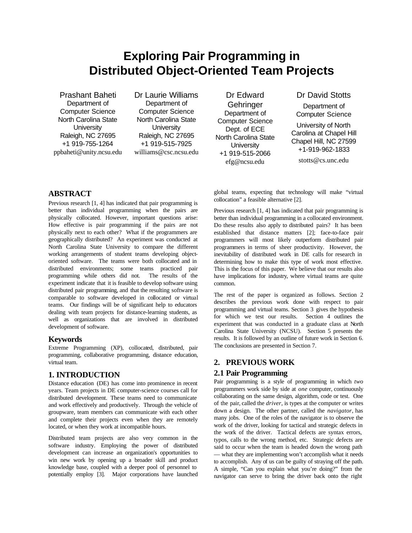# **Exploring Pair Programming in Distributed Object-Oriented Team Projects**

Prashant Baheti Department of Computer Science North Carolina State **University** Raleigh, NC 27695 +1 919-755-1264 ppbaheti@unity.ncsu.edu Dr Laurie Williams Department of Computer Science North Carolina State **University** Raleigh, NC 27695 +1 919-515-7925 williams@csc.ncsu.edu

Dr Edward **Gehringer** Department of Computer Science Dept. of ECE North Carolina State **University** +1 919-515-2066 efg@ncsu.edu

# Dr David Stotts

Department of Computer Science

University of North Carolina at Chapel Hill Chapel Hill, NC 27599 +1-919-962-1833

stotts@cs.unc.edu

global teams, expecting that technology will make "virtual collocation" a feasible alternative [2].

Previous research [1, 4] has indicated that pair programming is better than individual programming in a collocated environment. Do these results also apply to distributed pairs? It has been established that distance matters [2]; face-to-face pair programmers will most likely outperform distributed pair programmers in terms of sheer productivity. However, the inevitability of distributed work in DE calls for research in determining how to make this type of work most effective. This is the focus of this paper. We believe that our results also have implications for industry, where virtual teams are quite common.

The rest of the paper is organized as follows. Section 2 describes the previous work done with respect to pair programming and virtual teams. Section 3 gives the hypothesis for which we test our results. Section 4 outlines the experiment that was conducted in a graduate class at North Carolina State University (NCSU). Section 5 presents the results. It is followed by an outline of future work in Section 6. The conclusions are presented in Section 7.

# **2. PREVIOUS WORK**

## **2.1 Pair Programming**

Pair programming is a style of programming in which *two*  programmers work side by side at *one* computer, continuously collaborating on the same design, algorithm, code or test. One of the pair, called the *driver*, is types at the computer or writes down a design. The other partner, called the *navigator*, has many jobs. One of the roles of the navigator is to observe the work of the driver, looking for tactical and strategic defects in the work of the driver. Tactical defects are syntax errors, typos, calls to the wrong method, etc. Strategic defects are said to occur when the team is headed down the wrong path — what they are implementing won't accomplish what it needs to accomplish. Any of us can be guilty of straying off the path. A simple, "Can you explain what you're doing?" from the navigator can serve to bring the driver back onto the right

# **ABSTRACT**

Previous research [1, 4] has indicated that pair programming is better than individual programming when the pairs are physically collocated. However, important questions arise: How effective is pair programming if the pairs are not physically next to each other? What if the programmers are geographically distributed? An experiment was conducted at North Carolina State University to compare the different working arrangements of student teams developing objectoriented software. The teams were both collocated and in distributed environments; some teams practiced pair programming while others did not. The results of the experiment indicate that it is feasible to develop software using distributed pair programming, and that the resulting software is comparable to software developed in collocated or virtual teams. Our findings will be of significant help to educators dealing with team projects for distance-learning students, as well as organizations that are involved in distributed development of software.

## **Keywords**

Extreme Programming (XP), collocated, distributed, pair programming, collaborative programming, distance education, virtual team.

# **1. INTRODUCTION**

Distance education (DE) has come into prominence in recent years. Team projects in DE computer-science courses call for distributed development. These teams need to communicate and work effectively and productively. Through the vehicle of groupware, team members can communicate with each other and complete their projects even when they are remotely located, or when they work at incompatible hours.

Distributed team projects are also very common in the software industry. Employing the power of distributed development can increase an organization's opportunities to win new work by opening up a broader skill and product knowledge base, coupled with a deeper pool of personnel to potentially employ [3]. Major corporations have launched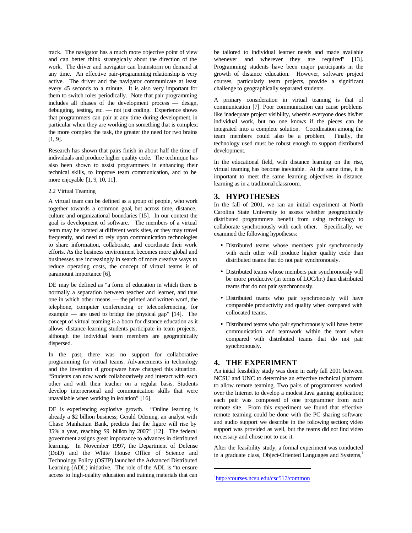track. The navigator has a much more objective point of view and can better think strategically about the direction of the work. The driver and navigator can brainstorm on demand at any time. An effective pair-programming relationship is very active. The driver and the navigator communicate at least every 45 seconds to a minute. It is also very important for them to switch roles periodically. Note that pair programming includes all phases of the development process — design, debugging, testing, etc. — not just coding. Experience shows that programmers can pair at any time during development, in particular when they are working on something that is complex: the more complex the task, the greater the need for two brains [1, 9].

Research has shown that pairs finish in about half the time of individuals and produce higher quality code. The technique has also been shown to assist programmers in enhancing their technical skills, to improve team communication, and to be more enjoyable [1, 9, 10, 11].

#### 2.2 Virtual Teaming

A virtual team can be defined as a group of people , who work together towards a common goal, but across time, distance, culture and organizational boundaries [15]. In our context the goal is development of software. The members of a virtual team may be located at different work sites, or they may travel frequently, and need to rely upon communication technologies to share information, collaborate, and coordinate their work efforts. As the business environment becomes more global and businesses are increasingly in search of more creative ways to reduce operating costs, the concept of virtual teams is of paramount importance [6].

DE may be defined as "a form of education in which there is normally a separation between teacher and learner, and thus one in which other means — the printed and written word, the telephone, computer conferencing or teleconferencing, for example — are used to bridge the physical gap" [14]. The concept of virtual teaming is a boon for distance education as it allows distance-learning students participate in team projects, although the individual team members are geographically dispersed.

In the past, there was no support for collaborative programming for virtual teams. Advancements in technology and the invention of groupware have changed this situation. "Students can now work collaboratively and interact with each other and with their teacher on a regular basis. Students develop interpersonal and communication skills that were unavailable when working in isolation" [16].

DE is experiencing explosive growth. "Online learning is already a \$2 billion business; Gerald Odening, an analyst with Chase Manhattan Bank, predicts that the figure will rise by 35% a year, reaching \$9 billion by 2005" [12]. The federal government assigns great importance to advances in distributed learning. In November 1997, the Department of Defense (DoD) and the White House Office of Science and Technology Policy (OSTP) launched the Advanced Distributed Learning (ADL) initiative. The role of the ADL is "to ensure access to high-quality education and training materials that can

be tailored to individual learner needs and made available whenever and wherever they are required" [13]. Programming students have been major participants in the growth of distance education. However, software project courses, particularly team projects, provide a significant challenge to geographically separated students.

A primary consideration in virtual teaming is that of communication [7]. Poor communication can cause problems like inadequate project visibility, wherein everyone does his/her individual work, but no one knows if the pieces can be integrated into a complete solution. Coordination among the team members could also be a problem. Finally, the technology used must be robust enough to support distributed development.

In the educational field, with distance learning on the rise, virtual teaming has become inevitable. At the same time, it is important to meet the same learning objectives in distance learning as in a traditional classroom.

# **3. HYPOTHESES**

In the fall of 2001, we ran an initial experiment at North Carolina State University to assess whether geographically distributed programmers benefit from using technology to collaborate synchronously with each other. Specifically, we examined the following hypotheses:

- Distributed teams whose members pair synchronously with each other will produce higher quality code than distributed teams that do not pair synchronously.
- Distributed teams whose members pair synchronously will be more productive (in terms of LOC/hr.) than distributed teams that do not pair synchronously.
- Distributed teams who pair synchronously will have comparable productivity and quality when compared with collocated teams.
- Distributed teams who pair synchronously will have better communication and teamwork within the team when compared with distributed teams that do not pair synchronously.

# **4. THE EXPERIMENT**

An initial feasibility study was done in early fall 2001 between NCSU and UNC to determine an effective technical platform to allow remote teaming. Two pairs of programmers worked over the Internet to develop a modest Java gaming application; each pair was composed of one programmer from each remote site. From this experiment we found that effective remote teaming could be done with the PC sharing software and audio support we describe in the following section; video support was provided as well, but the teams did not find video necessary and chose not to use it.

After the feasibility study, a formal experiment was conducted in a graduate class, Object-Oriented Languages and Systems,<sup>1</sup>

1

<sup>1</sup> http://courses.ncsu.edu/csc517/common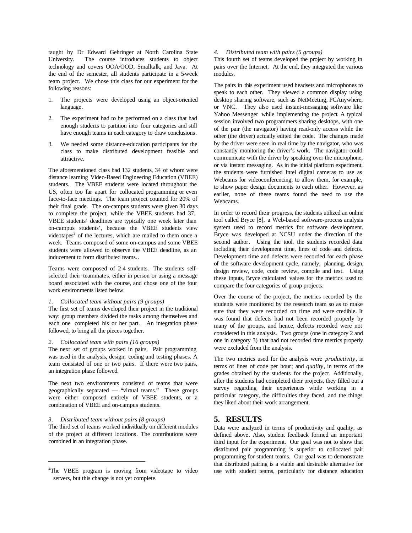taught by Dr Edward Gehringer at North Carolina State University. The course introduces students to object technology and covers OOA/OOD, Smalltalk, and Java. At the end of the semester, all students participate in a 5-week team project. We chose this class for our experiment for the following reasons:

- 1. The projects were developed using an object-oriented language.
- 2. The experiment had to be performed on a class that had enough students to partition into four categories and still have enough teams in each category to draw conclusions.
- 3. We needed some distance-education participants for the class to make distributed development feasible and attractive.

The aforementioned class had 132 students, 34 of whom were distance learning Video-Based Engineering Education (VBEE) students. The VBEE students were located throughout the US, often too far apart for collocated programming or even face-to-face meetings. The team project counted for 20% of their final grade. The on-campus students were given 30 days to complete the project, while the VBEE students had 37. VBEE students' deadlines are typically one week later than on-campus students', because the VBEE students view videotapes<sup>2</sup> of the lectures, which are mailed to them once a week. Teams composed of some on-campus and some VBEE students were allowed to observe the VBEE deadline, as an inducement to form distributed teams..

Teams were composed of 2–4 students. The students selfselected their teammates, either in person or using a message board associated with the course, and chose one of the four work environments listed below.

#### *1. Collocated team without pairs (9 groups)*

The first set of teams developed their project in the traditional way: group members divided the tasks among themselves and each one completed his or her part. An integration phase followed, to bring all the pieces together.

#### *2. Collocated team with pairs (16 groups)*

The next set of groups worked in pairs. Pair programming was used in the analysis, design, coding and testing phases. A team consisted of one or two pairs. If there were two pairs, an integration phase followed.

The next two environments consisted of teams that were geographically separated — "virtual teams." These groups were either composed entirely of VBEE students, or a combination of VBEE and on-campus students.

#### *3. Distributed team without pairs (8 groups)*

 $\overline{a}$ 

The third set of teams worked individually on different modules of the project at different locations. The contributions were combined in an integration phase.

## *4. Distributed team with pairs (5 groups)*

This fourth set of teams developed the project by working in pairs over the Internet. At the end, they integrated the various modules.

The pairs in this experiment used headsets and microphones to speak to each other. They viewed a common display using desktop sharing software, such as NetMeeting, PCAnywhere, or VNC. They also used instant-messaging software like Yahoo Messenger while implementing the project. A typical session involved two programmers sharing desktops, with one of the pair (the navigator) having read-only access while the other (the driver) actually edited the code. The changes made by the driver were seen in real time by the navigator, who was constantly monitoring the driver's work. The navigator could communicate with the driver by speaking over the microphone, or via instant messaging. As in the initial platform experiment, the students were furnished Intel digital cameras to use as Webcams for videoconferencing, to allow them, for example, to show paper design documents to each other. However, as earlier, none of these teams found the need to use the Webcams.

In order to record their progress, the students utilized an online tool called Bryce [8], a Web-based software-process analysis system used to record metrics for software development. Bryce was developed at NCSU under the direction of the second author. Using the tool, the students recorded data including their development time, lines of code and defects. Development time and defects were recorded for each phase of the software development cycle, namely, planning, design, design review, code, code review, compile and test. Using these inputs, Bryce calculated values for the metrics used to compare the four categories of group projects.

Over the course of the project, the metrics recorded by the students were monitored by the research team so as to make sure that they were recorded on time and were credible. It was found that defects had not been recorded properly by many of the groups, and hence, defects recorded were not considered in this analysis. Two groups (one in category 2 and one in category 3) that had not recorded time metrics properly were excluded from the analysis.

The two metrics used for the analysis were *productivity*, in terms of lines of code per hour; and *quality*, in terms of the grades obtained by the students for the project. Additionally, after the students had completed their projects, they filled out a survey regarding their experiences while working in a particular category, the difficulties they faced, and the things they liked about their work arrangement.

#### **5. RESULTS**

Data were analyzed in terms of productivity and quality, as defined above. Also, student feedback formed an important third input for the experiment. Our goal was not to show that distributed pair programming is superior to collocated pair programming for student teams. Our goal was to demonstrate that distributed pairing is a viable and desirable alternative for use with student teams, particularly for distance education

<sup>&</sup>lt;sup>2</sup>The VBEE program is moving from videotape to video servers, but this change is not yet complete.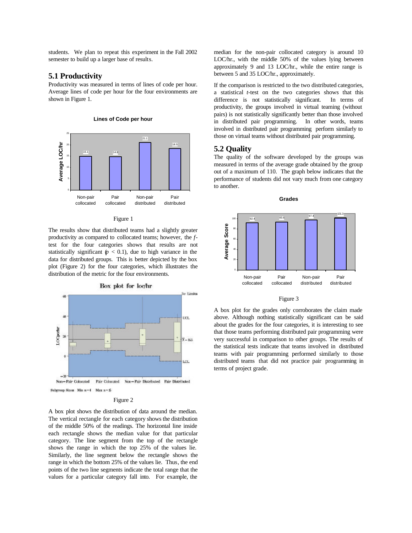students. We plan to repeat this experiment in the Fall 2002 semester to build up a larger base of results.

## **5.1 Productivity**

Productivity was measured in terms of lines of code per hour. Average lines of code per hour for the four environments are shown in Figure 1.

**Lines of Code per hour**



#### Figure 1

The results show that distributed teams had a slightly greater productivity as compared to collocated teams; however, the *f*test for the four categories shows that results are not statistically significant  $(p < 0.1)$ , due to high variance in the data for distributed groups. This is better depicted by the box plot (Figure 2) for the four categories, which illustrates the distribution of the metric for the four environments.



Subgroup Sizes Min n=4 Max n= 6

#### Figure 2

A box plot shows the distribution of data around the median. The vertical rectangle for each category shows the distribution of the middle 50% of the readings. The horizontal line inside each rectangle shows the median value for that particular category. The line segment from the top of the rectangle shows the range in which the top 25% of the values lie. Similarly, the line segment below the rectangle shows the range in which the bottom 25% of the values lie. Thus, the end points of the two line segments indicate the total range that the values for a particular category fall into. For example, the

median for the non-pair collocated category is around 10 LOC/hr., with the middle 50% of the values lying between approximately 9 and 13 LOC/hr., while the entire range is between 5 and 35 LOC/hr., approximately.

If the comparison is restricted to the two distributed categories, a statistical *t*-test on the two categories shows that this difference is not statistically significant. In terms of productivity, the groups involved in virtual teaming (without pairs) is not statistically significantly better than those involved in distributed pair programming. In other words, teams involved in distributed pair programming perform similarly to those on virtual teams without distributed pair programming.

#### **5.2 Quality**

The quality of the software developed by the groups was measured in terms of the average grade obtained by the group out of a maximum of 110. The graph below indicates that the performance of students did not vary much from one category to another.



#### Figure 3

A box plot for the grades only corroborates the claim made above. Although nothing statistically significant can be said about the grades for the four categories, it is interesting to see that those teams performing distributed pair programming were very successful in comparison to other groups. The results of the statistical tests indicate that teams involved in distributed teams with pair programming performed similarly to those distributed teams that did not practice pair programming in terms of project grade.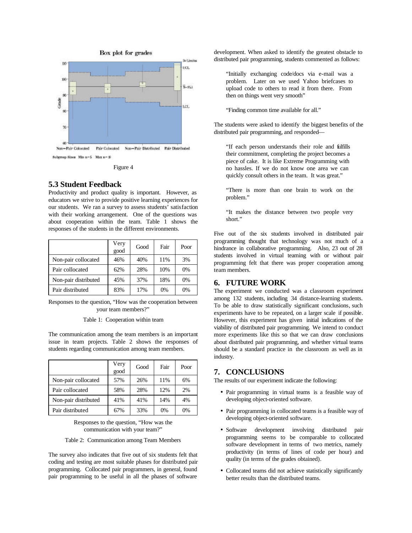



# **5.3 Student Feedback**

Productivity and product quality is important. However, as educators we strive to provide positive learning experiences for our students. We ran a survey to assess students' satisfaction with their working arrangement. One of the questions was about cooperation within the team. Table 1 shows the responses of the students in the different environments.

|                      | Very<br>good | Good | Fair  | Poor |
|----------------------|--------------|------|-------|------|
| Non-pair collocated  | 46%          | 40%  | 11%   | 3%   |
| Pair collocated      | 62%          | 28%  | 10%   | 0%   |
| Non-pair distributed | 45%          | 37%  | 18%   | 0%   |
| Pair distributed     | 83%          | 17%  | $0\%$ | 0%   |

Responses to the question, "How was the cooperation between your team members?"

Table 1: Cooperation within team

The communication among the team members is an important issue in team projects. Table 2 shows the responses of students regarding communication among team members.

|                      | Very<br>good | Good | Fair  | Poor  |
|----------------------|--------------|------|-------|-------|
| Non-pair collocated  | 57%          | 26%  | 11%   | 6%    |
| Pair collocated      | 58%          | 28%  | 12%   | 2%    |
| Non-pair distributed | 41%          | 41%  | 14%   | 4%    |
| Pair distributed     | 67%          | 33%  | $0\%$ | $0\%$ |

Responses to the question, "How was the communication with your team?"

Table 2: Communication among Team Members

The survey also indicates that five out of six students felt that coding and testing are most suitable phases for distributed pair programming. Collocated pair programmers, in general, found pair programming to be useful in all the phases of software

development. When asked to identify the greatest obstacle to distributed pair programming, students commented as follows:

"Initially exchanging code/docs via e-mail was a problem. Later on we used Yahoo briefcases to upload code to others to read it from there. From then on things went very smooth"

"Finding common time available for all."

The students were asked to identify the biggest benefits of the distributed pair programming, and responded—

"If each person understands their role and fulfills their commitment, completing the project becomes a piece of cake. It is like Extreme Programming with no hassles. If we do not know one area we can quickly consult others in the team. It was great."

"There is more than one brain to work on the problem."

"It makes the distance between two people very short."

Five out of the six students involved in distributed pair programming thought that technology was not much of a hindrance in collaborative programming. Also, 23 out of 28 students involved in virtual teaming with or without pair programming felt that there was proper cooperation among team members.

# **6. FUTURE WORK**

The experiment we conducted was a classroom experiment among 132 students, including 34 distance-learning students. To be able to draw statistically significant conclusions, such experiments have to be repeated, on a larger scale if possible. However, this experiment has given initial indications of the viability of distributed pair programming. We intend to conduct more experiments like this so that we can draw conclusions about distributed pair programming, and whether virtual teams should be a standard practice in the classroom as well as in industry.

# **7. CONCLUSIONS**

The results of our experiment indicate the following:

- Pair programming in virtual teams is a feasible way of developing object-oriented software.
- Pair programming in collocated teams is a feasible way of developing object-oriented software.
- Software development involving distributed pair programming seems to be comparable to collocated software development in terms of two metrics, namely productivity (in terms of lines of code per hour) and quality (in terms of the grades obtained).
- Collocated teams did not achieve statistically significantly better results than the distributed teams.